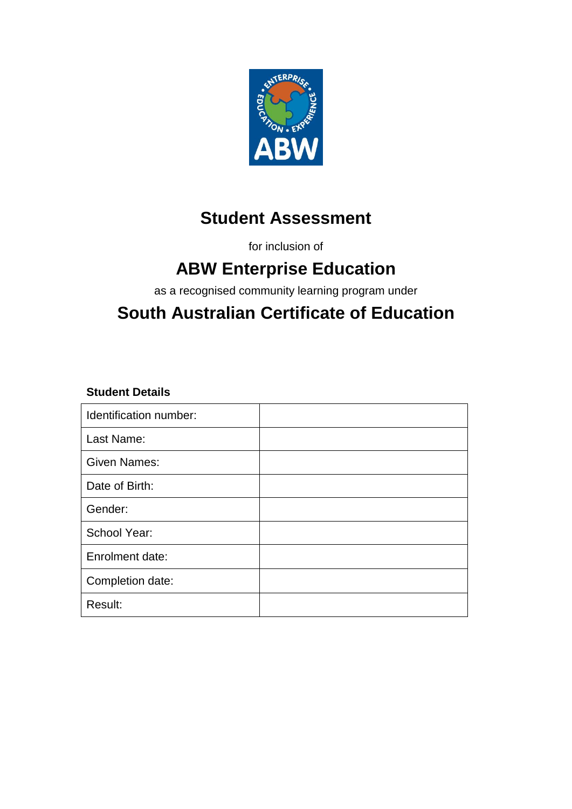

# **Student Assessment**

for inclusion of

# **ABW Enterprise Education**

as a recognised community learning program under

# **South Australian Certificate of Education**

#### **Student Details**

| Identification number: |  |
|------------------------|--|
| Last Name:             |  |
| <b>Given Names:</b>    |  |
| Date of Birth:         |  |
| Gender:                |  |
| School Year:           |  |
| Enrolment date:        |  |
| Completion date:       |  |
| Result:                |  |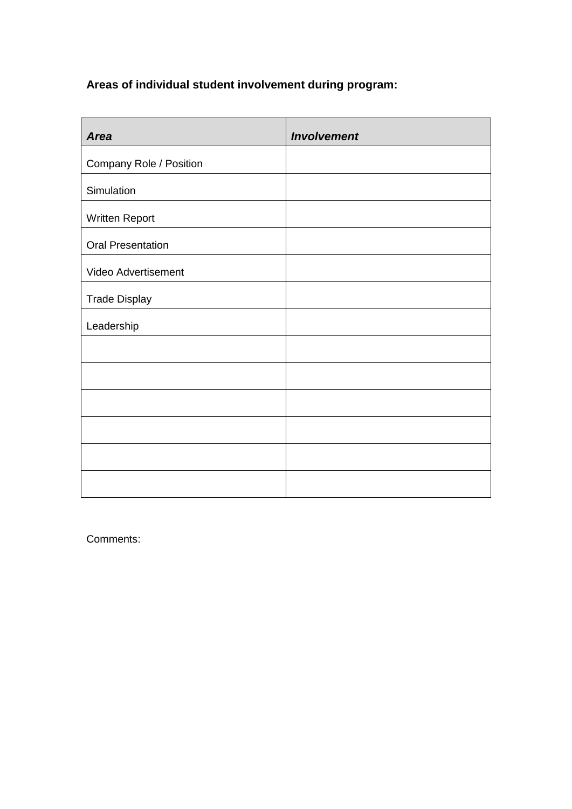### **Areas of individual student involvement during program:**

| <b>Area</b>              | <b>Involvement</b> |
|--------------------------|--------------------|
| Company Role / Position  |                    |
| Simulation               |                    |
| Written Report           |                    |
| <b>Oral Presentation</b> |                    |
| Video Advertisement      |                    |
| <b>Trade Display</b>     |                    |
| Leadership               |                    |
|                          |                    |
|                          |                    |
|                          |                    |
|                          |                    |
|                          |                    |
|                          |                    |

Comments: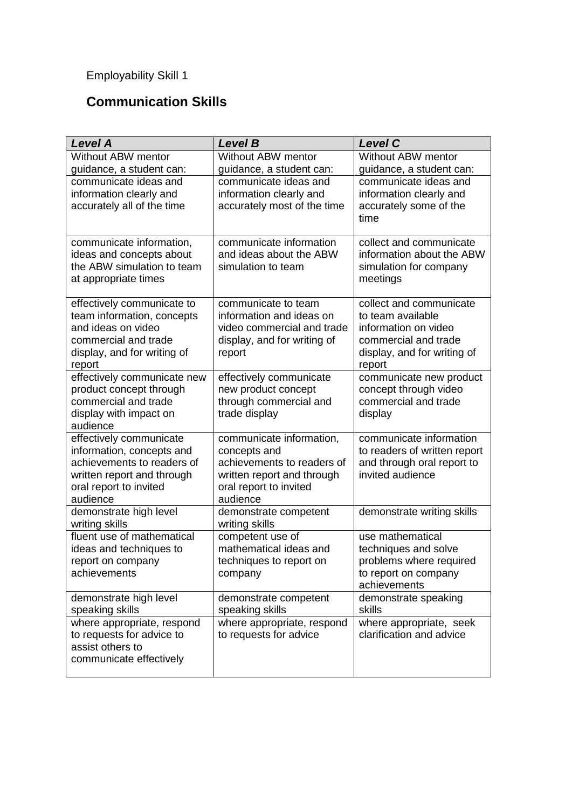### **Communication Skills**

| <b>Level A</b>                                                                                                                                         | <b>Level B</b>                                                                                                                             | <b>Level C</b>                                                                                                                        |
|--------------------------------------------------------------------------------------------------------------------------------------------------------|--------------------------------------------------------------------------------------------------------------------------------------------|---------------------------------------------------------------------------------------------------------------------------------------|
| Without ABW mentor                                                                                                                                     | Without ABW mentor                                                                                                                         | Without ABW mentor                                                                                                                    |
| guidance, a student can:                                                                                                                               | guidance, a student can:                                                                                                                   | guidance, a student can:                                                                                                              |
| communicate ideas and<br>information clearly and<br>accurately all of the time                                                                         | communicate ideas and<br>information clearly and<br>accurately most of the time                                                            | communicate ideas and<br>information clearly and<br>accurately some of the<br>time                                                    |
| communicate information,<br>ideas and concepts about<br>the ABW simulation to team<br>at appropriate times                                             | communicate information<br>and ideas about the ABW<br>simulation to team                                                                   | collect and communicate<br>information about the ABW<br>simulation for company<br>meetings                                            |
| effectively communicate to<br>team information, concepts<br>and ideas on video<br>commercial and trade<br>display, and for writing of<br>report        | communicate to team<br>information and ideas on<br>video commercial and trade<br>display, and for writing of<br>report                     | collect and communicate<br>to team available<br>information on video<br>commercial and trade<br>display, and for writing of<br>report |
| effectively communicate new<br>product concept through<br>commercial and trade<br>display with impact on<br>audience                                   | effectively communicate<br>new product concept<br>through commercial and<br>trade display                                                  | communicate new product<br>concept through video<br>commercial and trade<br>display                                                   |
| effectively communicate<br>information, concepts and<br>achievements to readers of<br>written report and through<br>oral report to invited<br>audience | communicate information,<br>concepts and<br>achievements to readers of<br>written report and through<br>oral report to invited<br>audience | communicate information<br>to readers of written report<br>and through oral report to<br>invited audience                             |
| demonstrate high level<br>writing skills                                                                                                               | demonstrate competent<br>writing skills                                                                                                    | demonstrate writing skills                                                                                                            |
| fluent use of mathematical<br>ideas and techniques to<br>report on company<br>achievements                                                             | competent use of<br>mathematical ideas and<br>techniques to report on<br>company                                                           | use mathematical<br>techniques and solve<br>problems where required<br>to report on company<br>achievements                           |
| demonstrate high level<br>speaking skills                                                                                                              | demonstrate competent<br>speaking skills                                                                                                   | demonstrate speaking<br>skills                                                                                                        |
| where appropriate, respond<br>to requests for advice to<br>assist others to<br>communicate effectively                                                 | where appropriate, respond<br>to requests for advice                                                                                       | where appropriate, seek<br>clarification and advice                                                                                   |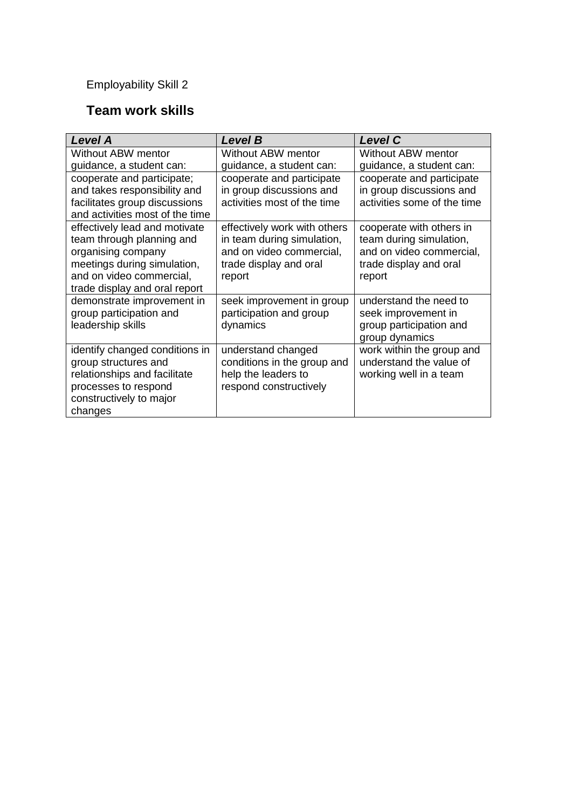#### **Team work skills**

| <b>Level A</b>                                                                                                                                                               | <b>Level B</b>                                                                                                             | <b>Level C</b>                                                                                                      |
|------------------------------------------------------------------------------------------------------------------------------------------------------------------------------|----------------------------------------------------------------------------------------------------------------------------|---------------------------------------------------------------------------------------------------------------------|
| Without ABW mentor                                                                                                                                                           | Without ABW mentor                                                                                                         | Without ABW mentor                                                                                                  |
| guidance, a student can:                                                                                                                                                     | guidance, a student can:                                                                                                   | guidance, a student can:                                                                                            |
| cooperate and participate;<br>and takes responsibility and<br>facilitates group discussions<br>and activities most of the time                                               | cooperate and participate<br>in group discussions and<br>activities most of the time                                       | cooperate and participate<br>in group discussions and<br>activities some of the time                                |
| effectively lead and motivate<br>team through planning and<br>organising company<br>meetings during simulation,<br>and on video commercial,<br>trade display and oral report | effectively work with others<br>in team during simulation,<br>and on video commercial,<br>trade display and oral<br>report | cooperate with others in<br>team during simulation,<br>and on video commercial,<br>trade display and oral<br>report |
| demonstrate improvement in<br>group participation and<br>leadership skills                                                                                                   | seek improvement in group<br>participation and group<br>dynamics                                                           | understand the need to<br>seek improvement in<br>group participation and<br>group dynamics                          |
| identify changed conditions in<br>group structures and<br>relationships and facilitate<br>processes to respond<br>constructively to major<br>changes                         | understand changed<br>conditions in the group and<br>help the leaders to<br>respond constructively                         | work within the group and<br>understand the value of<br>working well in a team                                      |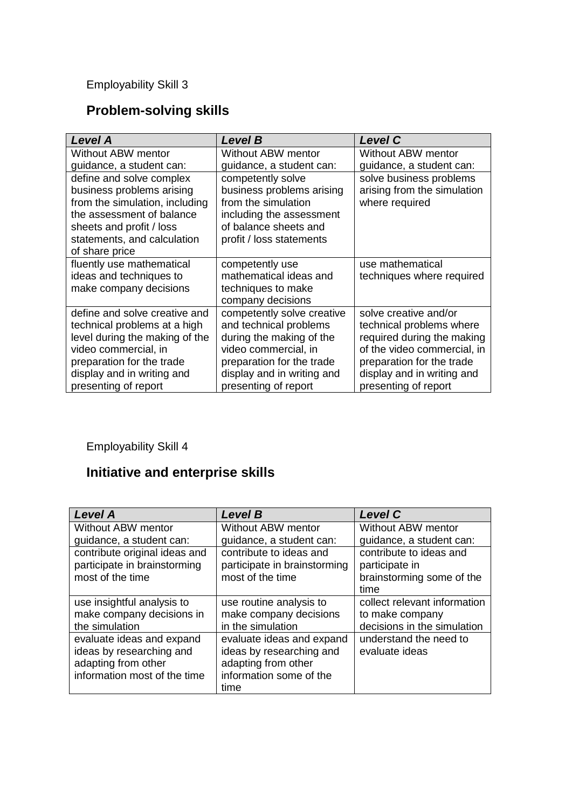### **Problem-solving skills**

| <b>Level A</b>                                              | <b>Level B</b>                                   | <b>Level C</b>              |
|-------------------------------------------------------------|--------------------------------------------------|-----------------------------|
| Without ABW mentor                                          | Without ABW mentor                               | Without ABW mentor          |
| guidance, a student can:                                    | guidance, a student can:                         | guidance, a student can:    |
| define and solve complex                                    | competently solve                                | solve business problems     |
| business problems arising                                   | business problems arising<br>from the simulation | arising from the simulation |
| from the simulation, including<br>the assessment of balance | including the assessment                         | where required              |
| sheets and profit / loss                                    | of balance sheets and                            |                             |
| statements, and calculation                                 | profit / loss statements                         |                             |
| of share price                                              |                                                  |                             |
| fluently use mathematical                                   | competently use                                  | use mathematical            |
| ideas and techniques to                                     | mathematical ideas and                           | techniques where required   |
| make company decisions                                      | techniques to make                               |                             |
|                                                             | company decisions                                |                             |
| define and solve creative and                               | competently solve creative                       | solve creative and/or       |
| technical problems at a high                                | and technical problems                           | technical problems where    |
| level during the making of the                              | during the making of the                         | required during the making  |
| video commercial, in                                        | video commercial, in                             | of the video commercial, in |
| preparation for the trade                                   | preparation for the trade                        | preparation for the trade   |
| display and in writing and                                  | display and in writing and                       | display and in writing and  |
| presenting of report                                        | presenting of report                             | presenting of report        |

Employability Skill 4

# **Initiative and enterprise skills**

| <b>Level A</b>                | <b>Level B</b>               | <b>Level C</b>               |
|-------------------------------|------------------------------|------------------------------|
| Without ABW mentor            | <b>Without ABW mentor</b>    | Without ABW mentor           |
| guidance, a student can:      | guidance, a student can:     | guidance, a student can:     |
| contribute original ideas and | contribute to ideas and      | contribute to ideas and      |
| participate in brainstorming  | participate in brainstorming | participate in               |
| most of the time              | most of the time             | brainstorming some of the    |
|                               |                              | time                         |
| use insightful analysis to    | use routine analysis to      | collect relevant information |
| make company decisions in     | make company decisions       | to make company              |
| the simulation                | in the simulation            | decisions in the simulation  |
| evaluate ideas and expand     | evaluate ideas and expand    | understand the need to       |
| ideas by researching and      | ideas by researching and     | evaluate ideas               |
| adapting from other           | adapting from other          |                              |
| information most of the time  | information some of the      |                              |
|                               | time                         |                              |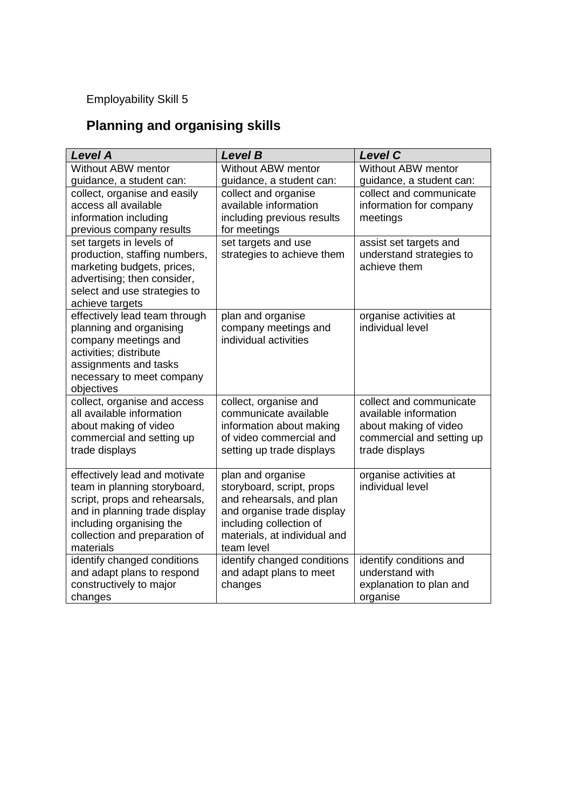# **Planning and organising skills**

| <b>Level A</b>                                            | <b>Level B</b>                                      | <b>Level C</b>                                   |
|-----------------------------------------------------------|-----------------------------------------------------|--------------------------------------------------|
| Without ABW mentor                                        | Without ABW mentor                                  | Without ABW mentor                               |
| guidance, a student can:                                  | guidance, a student can:                            | guidance, a student can:                         |
| collect, organise and easily                              | collect and organise                                | collect and communicate                          |
| access all available                                      | available information                               | information for company                          |
| information including                                     | including previous results                          | meetings                                         |
| previous company results                                  | for meetings                                        |                                                  |
| set targets in levels of                                  | set targets and use                                 | assist set targets and                           |
| production, staffing numbers,                             | strategies to achieve them                          | understand strategies to                         |
| marketing budgets, prices,                                |                                                     | achieve them                                     |
| advertising; then consider,                               |                                                     |                                                  |
| select and use strategies to                              |                                                     |                                                  |
| achieve targets                                           |                                                     |                                                  |
| effectively lead team through                             | plan and organise                                   | organise activities at                           |
| planning and organising                                   | company meetings and                                | individual level                                 |
| company meetings and                                      | individual activities                               |                                                  |
| activities; distribute                                    |                                                     |                                                  |
| assignments and tasks                                     |                                                     |                                                  |
| necessary to meet company                                 |                                                     |                                                  |
| objectives                                                |                                                     |                                                  |
| collect, organise and access<br>all available information | collect, organise and<br>communicate available      | collect and communicate<br>available information |
|                                                           |                                                     |                                                  |
| about making of video                                     | information about making<br>of video commercial and | about making of video                            |
| commercial and setting up                                 |                                                     | commercial and setting up                        |
| trade displays                                            | setting up trade displays                           | trade displays                                   |
| effectively lead and motivate                             | plan and organise                                   | organise activities at                           |
| team in planning storyboard,                              | storyboard, script, props                           | individual level                                 |
| script, props and rehearsals,                             | and rehearsals, and plan                            |                                                  |
| and in planning trade display                             | and organise trade display                          |                                                  |
| including organising the                                  | including collection of                             |                                                  |
| collection and preparation of                             | materials, at individual and                        |                                                  |
| materials                                                 | team level                                          |                                                  |
| identify changed conditions                               | identify changed conditions                         | identify conditions and                          |
| and adapt plans to respond                                | and adapt plans to meet                             | understand with                                  |
| constructively to major                                   | changes                                             | explanation to plan and                          |
| changes                                                   |                                                     | organise                                         |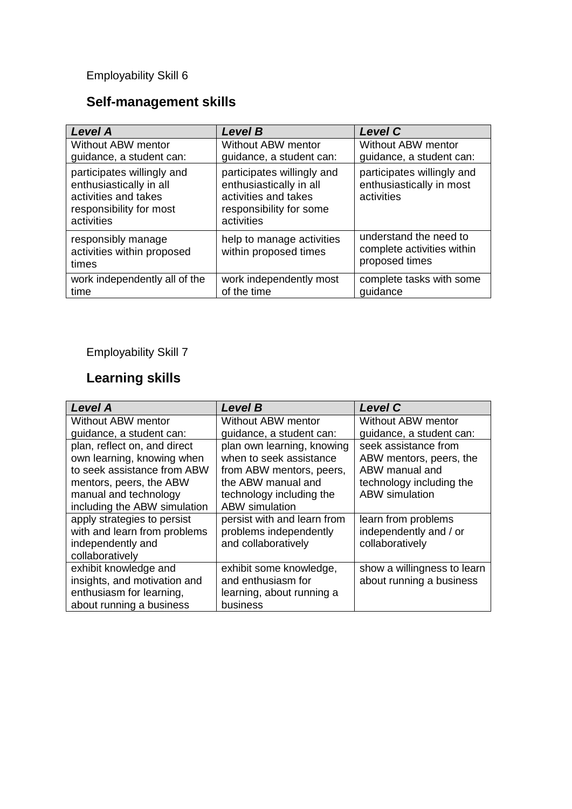## **Self-management skills**

| <b>Level A</b>                                                                                                         | <b>Level B</b>                                                                                                         | <b>Level C</b>                                                         |
|------------------------------------------------------------------------------------------------------------------------|------------------------------------------------------------------------------------------------------------------------|------------------------------------------------------------------------|
| <b>Without ABW mentor</b><br>guidance, a student can:                                                                  | Without ABW mentor<br>guidance, a student can:                                                                         | Without ABW mentor<br>guidance, a student can:                         |
| participates willingly and<br>enthusiastically in all<br>activities and takes<br>responsibility for most<br>activities | participates willingly and<br>enthusiastically in all<br>activities and takes<br>responsibility for some<br>activities | participates willingly and<br>enthusiastically in most<br>activities   |
| responsibly manage<br>activities within proposed<br>times                                                              | help to manage activities<br>within proposed times                                                                     | understand the need to<br>complete activities within<br>proposed times |
| work independently all of the<br>time                                                                                  | work independently most<br>of the time                                                                                 | complete tasks with some<br>quidance                                   |

### Employability Skill 7

# **Learning skills**

| <b>Level A</b>               | <b>Level B</b>              | <b>Level C</b>              |
|------------------------------|-----------------------------|-----------------------------|
| Without ABW mentor           | Without ABW mentor          | Without ABW mentor          |
| guidance, a student can:     | guidance, a student can:    | guidance, a student can:    |
| plan, reflect on, and direct | plan own learning, knowing  | seek assistance from        |
| own learning, knowing when   | when to seek assistance     | ABW mentors, peers, the     |
| to seek assistance from ABW  | from ABW mentors, peers,    | ABW manual and              |
| mentors, peers, the ABW      | the ABW manual and          | technology including the    |
| manual and technology        | technology including the    | <b>ABW</b> simulation       |
| including the ABW simulation | <b>ABW</b> simulation       |                             |
| apply strategies to persist  | persist with and learn from | learn from problems         |
| with and learn from problems | problems independently      | independently and / or      |
| independently and            | and collaboratively         | collaboratively             |
| collaboratively              |                             |                             |
| exhibit knowledge and        | exhibit some knowledge,     | show a willingness to learn |
| insights, and motivation and | and enthusiasm for          | about running a business    |
| enthusiasm for learning,     | learning, about running a   |                             |
| about running a business     | business                    |                             |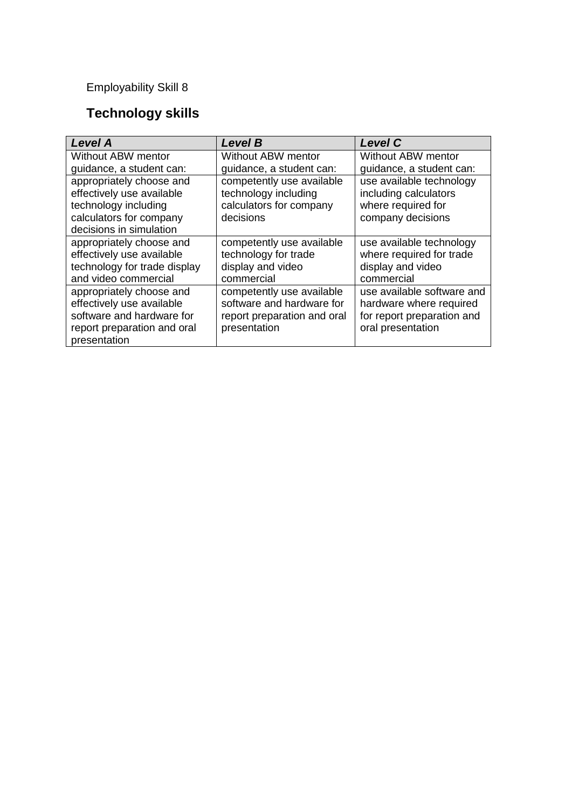# **Technology skills**

| <b>Level A</b>               | <b>Level B</b>              | <b>Level C</b>             |
|------------------------------|-----------------------------|----------------------------|
| Without ABW mentor           | Without ABW mentor          | Without ABW mentor         |
| guidance, a student can:     | guidance, a student can:    | guidance, a student can:   |
| appropriately choose and     | competently use available   | use available technology   |
| effectively use available    | technology including        | including calculators      |
| technology including         | calculators for company     | where required for         |
| calculators for company      | decisions                   | company decisions          |
| decisions in simulation      |                             |                            |
| appropriately choose and     | competently use available   | use available technology   |
| effectively use available    | technology for trade        | where required for trade   |
| technology for trade display | display and video           | display and video          |
| and video commercial         | commercial                  | commercial                 |
| appropriately choose and     | competently use available   | use available software and |
| effectively use available    | software and hardware for   | hardware where required    |
| software and hardware for    | report preparation and oral | for report preparation and |
| report preparation and oral  | presentation                | oral presentation          |
| presentation                 |                             |                            |